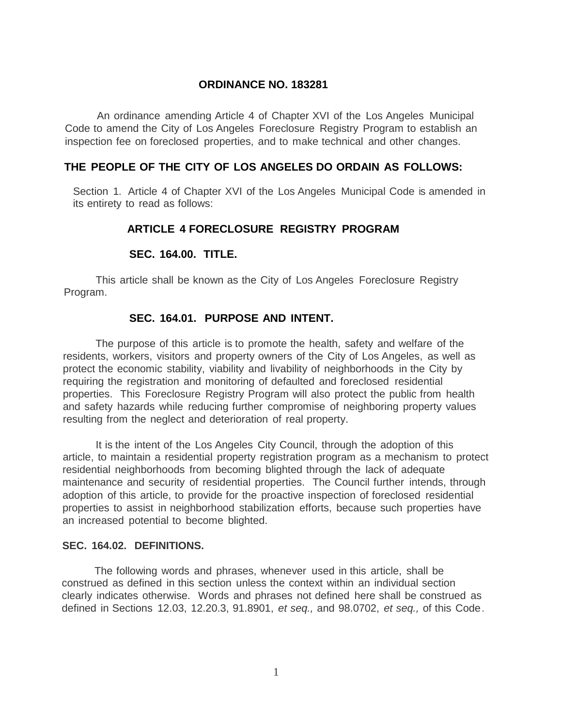#### **ORDINANCE NO. 183281**

An ordinance amending Article 4 of Chapter XVI of the Los Angeles Municipal Code to amend the City of Los Angeles Foreclosure Registry Program to establish an inspection fee on foreclosed properties, and to make technical and other changes.

### **THE PEOPLE OF THE CITY OF LOS ANGELES DO ORDAIN AS FOLLOWS:**

Section 1. Article 4 of Chapter XVI of the Los Angeles Municipal Code is amended in its entirety to read as follows:

#### **ARTICLE 4 FORECLOSURE REGISTRY PROGRAM**

#### **SEC. 164.00. TITLE.**

This article shall be known as the City of Los Angeles Foreclosure Registry Program.

### **SEC. 164.01. PURPOSE AND INTENT.**

The purpose of this article is to promote the health, safety and welfare of the residents, workers, visitors and property owners of the City of Los Angeles, as well as protect the economic stability, viability and livability of neighborhoods in the City by requiring the registration and monitoring of defaulted and foreclosed residential properties. This Foreclosure Registry Program will also protect the public from health and safety hazards while reducing further compromise of neighboring property values resulting from the neglect and deterioration of real property.

It is the intent of the Los Angeles City Council, through the adoption of this article, to maintain a residential property registration program as a mechanism to protect residential neighborhoods from becoming blighted through the lack of adequate maintenance and security of residential properties. The Council further intends, through adoption of this article, to provide for the proactive inspection of foreclosed residential properties to assist in neighborhood stabilization efforts, because such properties have an increased potential to become blighted.

#### **SEC. 164.02. DEFINITIONS.**

The following words and phrases, whenever used in this article, shall be construed as defined in this section unless the context within an individual section clearly indicates otherwise. Words and phrases not defined here shall be construed as defined in Sections 12.03, 12.20.3, 91.8901, *et seq.,* and 98.0702, *et seq.,* of this Code.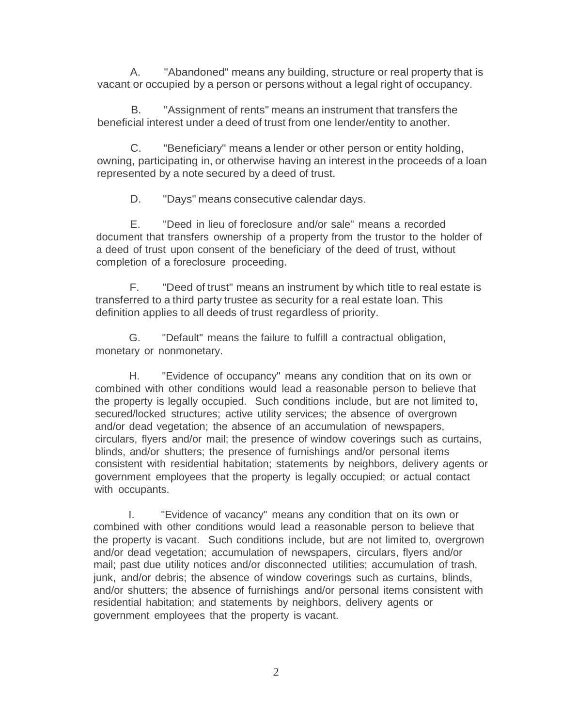A. "Abandoned" means any building, structure or real property that is vacant or occupied by a person or persons without a legal right of occupancy.

B. "Assignment of rents" means an instrument that transfers the beneficial interest under a deed of trust from one lender/entity to another.

C. "Beneficiary" means a lender or other person or entity holding, owning, participating in, or otherwise having an interest in the proceeds of a loan represented by a note secured by a deed of trust.

D. "Days" means consecutive calendar days.

E. "Deed in lieu of foreclosure and/or sale" means a recorded document that transfers ownership of a property from the trustor to the holder of a deed of trust upon consent of the beneficiary of the deed of trust, without completion of a foreclosure proceeding.

F. "Deed of trust" means an instrument by which title to real estate is transferred to a third party trustee as security for a real estate loan. This definition applies to all deeds of trust regardless of priority.

G. "Default" means the failure to fulfill a contractual obligation, monetary or nonmonetary.

H. "Evidence of occupancy" means any condition that on its own or combined with other conditions would lead a reasonable person to believe that the property is legally occupied. Such conditions include, but are not limited to, secured/locked structures; active utility services; the absence of overgrown and/or dead vegetation; the absence of an accumulation of newspapers, circulars, flyers and/or mail; the presence of window coverings such as curtains, blinds, and/or shutters; the presence of furnishings and/or personal items consistent with residential habitation; statements by neighbors, delivery agents or government employees that the property is legally occupied; or actual contact with occupants.

I. "Evidence of vacancy" means any condition that on its own or combined with other conditions would lead a reasonable person to believe that the property is vacant. Such conditions include, but are not limited to, overgrown and/or dead vegetation; accumulation of newspapers, circulars, flyers and/or mail; past due utility notices and/or disconnected utilities; accumulation of trash, junk, and/or debris; the absence of window coverings such as curtains, blinds, and/or shutters; the absence of furnishings and/or personal items consistent with residential habitation; and statements by neighbors, delivery agents or government employees that the property is vacant.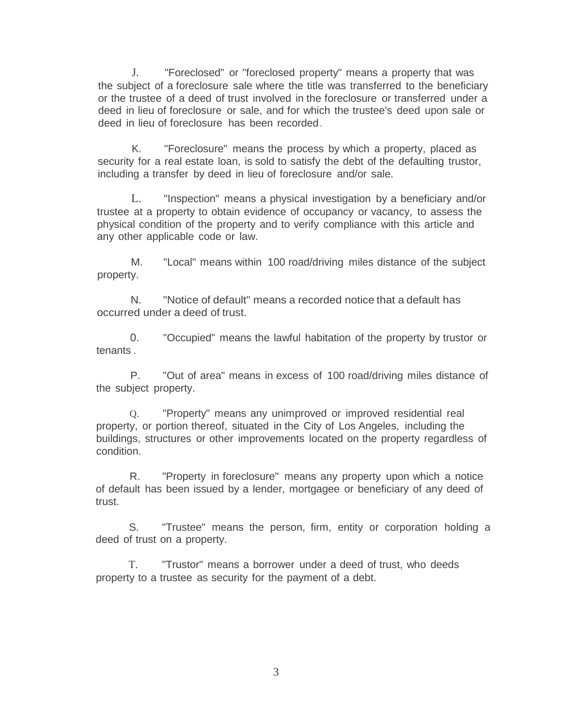J. "Foreclosed" or "foreclosed property" means a property that was the subject of a foreclosure sale where the title was transferred to the beneficiary or the trustee of a deed of trust involved in the foreclosure or transferred under a deed in lieu of foreclosure or sale, and for which the trustee's deed upon sale or deed in lieu of foreclosure has been recorded.

K. "Foreclosure" means the process by which a property, placed as security for a real estate loan, is sold to satisfy the debt of the defaulting trustor, including a transfer by deed in lieu of foreclosure and/or sale.

L. "Inspection" means a physical investigation by a beneficiary and/or trustee at a property to obtain evidence of occupancy or vacancy, to assess the physical condition of the property and to verify compliance with this article and any other applicable code or law.

M. "Local" means within 100 road/driving miles distance of the subject property.

N. "Notice of default" means a recorded notice that a default has occurred under a deed of trust.

0. "Occupied" means the lawful habitation of the property by trustor or tenants .

P. "Out of area" means in excess of 100 road/driving miles distance of the subject property.

Q. "Property" means any unimproved or improved residential real property, or portion thereof, situated in the City of Los Angeles, including the buildings, structures or other improvements located on the property regardless of condition.

R. "Property in foreclosure" means any property upon which a notice of default has been issued by a lender, mortgagee or beneficiary of any deed of trust.

S. "Trustee" means the person, firm, entity or corporation holding a deed of trust on a property.

T. "Trustor" means a borrower under a deed of trust, who deeds property to a trustee as security for the payment of a debt.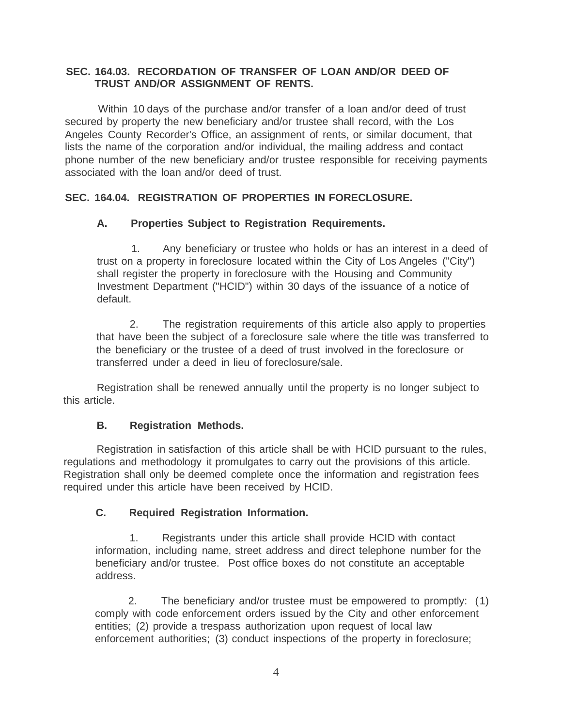## **SEC. 164.03. RECORDATION OF TRANSFER OF LOAN AND/OR DEED OF TRUST AND/OR ASSIGNMENT OF RENTS.**

Within 10 days of the purchase and/or transfer of a loan and/or deed of trust secured by property the new beneficiary and/or trustee shall record, with the Los Angeles County Recorder's Office, an assignment of rents, or similar document, that lists the name of the corporation and/or individual, the mailing address and contact phone number of the new beneficiary and/or trustee responsible for receiving payments associated with the loan and/or deed of trust.

## **SEC. 164.04. REGISTRATION OF PROPERTIES IN FORECLOSURE.**

## **A. Properties Subject to Registration Requirements.**

1. Any beneficiary or trustee who holds or has an interest in a deed of trust on a property in foreclosure located within the City of Los Angeles ("City") shall register the property in foreclosure with the Housing and Community Investment Department ("HCID") within 30 days of the issuance of a notice of default.

2. The registration requirements of this article also apply to properties that have been the subject of a foreclosure sale where the title was transferred to the beneficiary or the trustee of a deed of trust involved in the foreclosure or transferred under a deed in lieu of foreclosure/sale.

Registration shall be renewed annually until the property is no longer subject to this article.

## **B. Registration Methods.**

Registration in satisfaction of this article shall be with HCID pursuant to the rules, regulations and methodology it promulgates to carry out the provisions of this article. Registration shall only be deemed complete once the information and registration fees required under this article have been received by HCID.

## **C. Required Registration Information.**

1. Registrants under this article shall provide HCID with contact information, including name, street address and direct telephone number for the beneficiary and/or trustee. Post office boxes do not constitute an acceptable address.

2. The beneficiary and/or trustee must be empowered to promptly: (1) comply with code enforcement orders issued by the City and other enforcement entities; (2) provide a trespass authorization upon request of local law enforcement authorities; (3) conduct inspections of the property in foreclosure;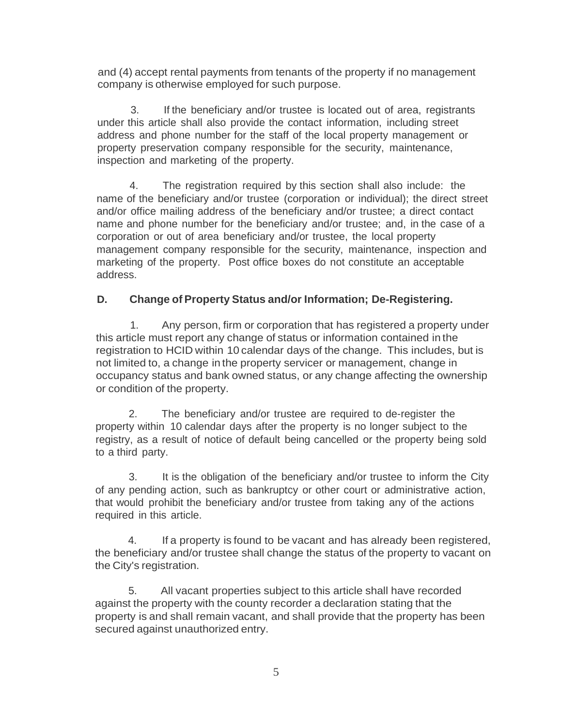and (4) accept rental payments from tenants of the property if no management company is otherwise employed for such purpose.

3. If the beneficiary and/or trustee is located out of area, registrants under this article shall also provide the contact information, including street address and phone number for the staff of the local property management or property preservation company responsible for the security, maintenance, inspection and marketing of the property.

4. The registration required by this section shall also include: the name of the beneficiary and/or trustee (corporation or individual); the direct street and/or office mailing address of the beneficiary and/or trustee; a direct contact name and phone number for the beneficiary and/or trustee; and, in the case of a corporation or out of area beneficiary and/or trustee, the local property management company responsible for the security, maintenance, inspection and marketing of the property. Post office boxes do not constitute an acceptable address.

# **D. Change of Property Status and/or Information; De-Registering.**

1. Any person, firm or corporation that has registered a property under this article must report any change of status or information contained in the registration to HCID within 10 calendar days of the change. This includes, but is not limited to, a change in the property servicer or management, change in occupancy status and bank owned status, or any change affecting the ownership or condition of the property.

2. The beneficiary and/or trustee are required to de-register the property within 10 calendar days after the property is no longer subject to the registry, as a result of notice of default being cancelled or the property being sold to a third party.

3. It is the obligation of the beneficiary and/or trustee to inform the City of any pending action, such as bankruptcy or other court or administrative action, that would prohibit the beneficiary and/or trustee from taking any of the actions required in this article.

4. If a property is found to be vacant and has already been registered, the beneficiary and/or trustee shall change the status of the property to vacant on the City's registration.

5. All vacant properties subject to this article shall have recorded against the property with the county recorder a declaration stating that the property is and shall remain vacant, and shall provide that the property has been secured against unauthorized entry.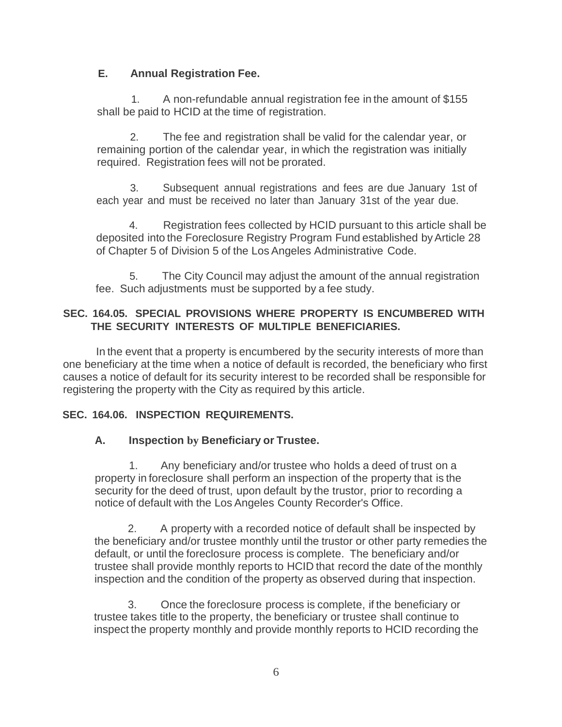# **E. Annual Registration Fee.**

1. A non-refundable annual registration fee in the amount of \$155 shall be paid to HCID at the time of registration.

2. The fee and registration shall be valid for the calendar year, or remaining portion of the calendar year, in which the registration was initially required. Registration fees will not be prorated.

3. Subsequent annual registrations and fees are due January 1st of each year and must be received no later than January 31st of the year due.

4. Registration fees collected by HCID pursuant to this article shall be deposited into the Foreclosure Registry Program Fund established byArticle 28 of Chapter 5 of Division 5 of the Los Angeles Administrative Code.

5. The City Council may adjust the amount of the annual registration fee. Such adjustments must be supported by a fee study.

# **SEC. 164.05. SPECIAL PROVISIONS WHERE PROPERTY IS ENCUMBERED WITH THE SECURITY INTERESTS OF MULTIPLE BENEFICIARIES.**

In the event that a property is encumbered by the security interests of more than one beneficiary at the time when a notice of default is recorded, the beneficiary who first causes a notice of default for its security interest to be recorded shall be responsible for registering the property with the City as required by this article.

# **SEC. 164.06. INSPECTION REQUIREMENTS.**

# **A. Inspection by Beneficiary or Trustee.**

1. Any beneficiary and/or trustee who holds a deed of trust on a property in foreclosure shall perform an inspection of the property that is the security for the deed of trust, upon default by the trustor, prior to recording a notice of default with the Los Angeles County Recorder's Office.

2. A property with a recorded notice of default shall be inspected by the beneficiary and/or trustee monthly until the trustor or other party remedies the default, or until the foreclosure process is complete. The beneficiary and/or trustee shall provide monthly reports to HCID that record the date of the monthly inspection and the condition of the property as observed during that inspection.

3. Once the foreclosure process is complete, if the beneficiary or trustee takes title to the property, the beneficiary or trustee shall continue to inspect the property monthly and provide monthly reports to HCID recording the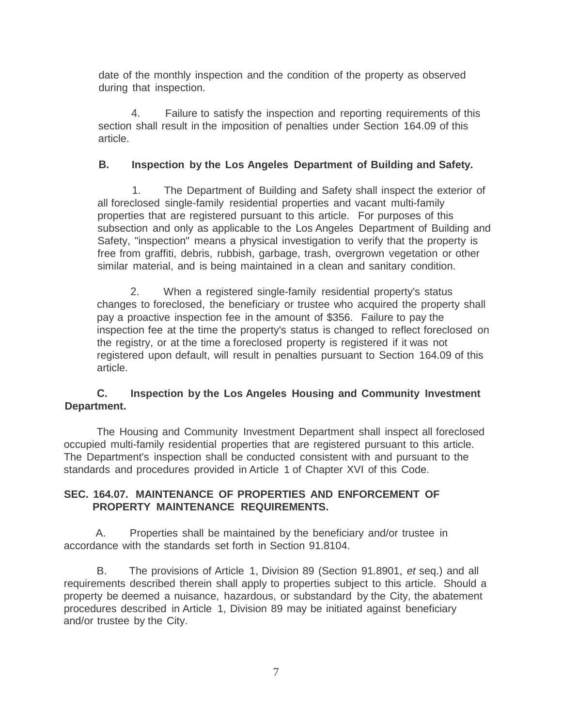date of the monthly inspection and the condition of the property as observed during that inspection.

4. Failure to satisfy the inspection and reporting requirements of this section shall result in the imposition of penalties under Section 164.09 of this article.

## **B. Inspection by the Los Angeles Department of Building and Safety.**

1. The Department of Building and Safety shall inspect the exterior of all foreclosed single-family residential properties and vacant multi-family properties that are registered pursuant to this article. For purposes of this subsection and only as applicable to the Los Angeles Department of Building and Safety, "inspection" means a physical investigation to verify that the property is free from graffiti, debris, rubbish, garbage, trash, overgrown vegetation or other similar material, and is being maintained in a clean and sanitary condition.

2. When a registered single-family residential property's status changes to foreclosed, the beneficiary or trustee who acquired the property shall pay a proactive inspection fee in the amount of \$356. Failure to pay the inspection fee at the time the property's status is changed to reflect foreclosed on the registry, or at the time a foreclosed property is registered if it was not registered upon default, will result in penalties pursuant to Section 164.09 of this article.

### **C. Inspection by the Los Angeles Housing and Community Investment Department.**

The Housing and Community Investment Department shall inspect all foreclosed occupied multi-family residential properties that are registered pursuant to this article. The Department's inspection shall be conducted consistent with and pursuant to the standards and procedures provided in Article 1 of Chapter XVI of this Code.

### **SEC. 164.07. MAINTENANCE OF PROPERTIES AND ENFORCEMENT OF PROPERTY MAINTENANCE REQUIREMENTS.**

A. Properties shall be maintained by the beneficiary and/or trustee in accordance with the standards set forth in Section 91.8104.

B. The provisions of Article 1, Division 89 (Section 91.8901, *et* seq.) and all requirements described therein shall apply to properties subject to this article. Should a property be deemed a nuisance, hazardous, or substandard by the City, the abatement procedures described in Article 1, Division 89 may be initiated against beneficiary and/or trustee by the City.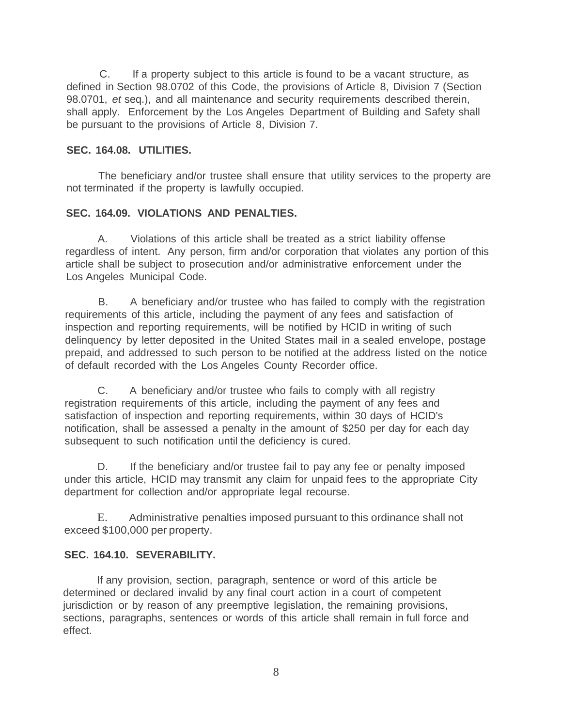C. If a property subject to this article is found to be a vacant structure, as defined in Section 98.0702 of this Code, the provisions of Article 8, Division 7 (Section 98.0701, *et* seq.), and all maintenance and security requirements described therein, shall apply. Enforcement by the Los Angeles Department of Building and Safety shall be pursuant to the provisions of Article 8, Division 7.

#### **SEC. 164.08. UTILITIES.**

The beneficiary and/or trustee shall ensure that utility services to the property are not terminated if the property is lawfully occupied.

### **SEC. 164.09. VIOLATIONS AND PENALTIES.**

A. Violations of this article shall be treated as a strict liability offense regardless of intent. Any person, firm and/or corporation that violates any portion of this article shall be subject to prosecution and/or administrative enforcement under the Los Angeles Municipal Code.

B. A beneficiary and/or trustee who has failed to comply with the registration requirements of this article, including the payment of any fees and satisfaction of inspection and reporting requirements, will be notified by HCID in writing of such delinquency by letter deposited in the United States mail in a sealed envelope, postage prepaid, and addressed to such person to be notified at the address listed on the notice of default recorded with the Los Angeles County Recorder office.

C. A beneficiary and/or trustee who fails to comply with all registry registration requirements of this article, including the payment of any fees and satisfaction of inspection and reporting requirements, within 30 days of HCID's notification, shall be assessed a penalty in the amount of \$250 per day for each day subsequent to such notification until the deficiency is cured.

D. If the beneficiary and/or trustee fail to pay any fee or penalty imposed under this article, HCID may transmit any claim for unpaid fees to the appropriate City department for collection and/or appropriate legal recourse.

E. Administrative penalties imposed pursuant to this ordinance shall not exceed \$100,000 per property.

#### **SEC. 164.10. SEVERABILITY.**

If any provision, section, paragraph, sentence or word of this article be determined or declared invalid by any final court action in a court of competent jurisdiction or by reason of any preemptive legislation, the remaining provisions, sections, paragraphs, sentences or words of this article shall remain in full force and effect.